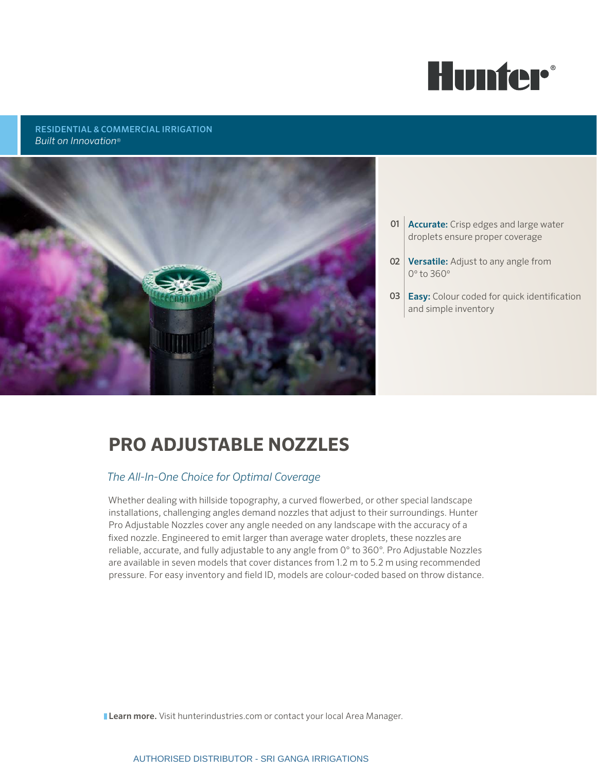

### RESIDENTIAL & COMMERCIAL IRRIGATION *Built on Innovation*®



- **01 Accurate:** Crisp edges and large water droplets ensure proper coverage
- **02 Versatile:** Adjust to any angle from 0º to 360º
- **03 Easy:** Colour coded for quick identification and simple inventory

# **PRO ADJUSTABLE NOZZLES**

## *The All-In-One Choice for Optimal Coverage*

Whether dealing with hillside topography, a curved flowerbed, or other special landscape installations, challenging angles demand nozzles that adjust to their surroundings. Hunter Pro Adjustable Nozzles cover any angle needed on any landscape with the accuracy of a fixed nozzle. Engineered to emit larger than average water droplets, these nozzles are reliable, accurate, and fully adjustable to any angle from 0° to 360°. Pro Adjustable Nozzles are available in seven models that cover distances from 1.2 m to 5.2 m using recommended pressure. For easy inventory and field ID, models are colour-coded based on throw distance.

**Learn more.** Visit hunterindustries.com or contact your local Area Manager.